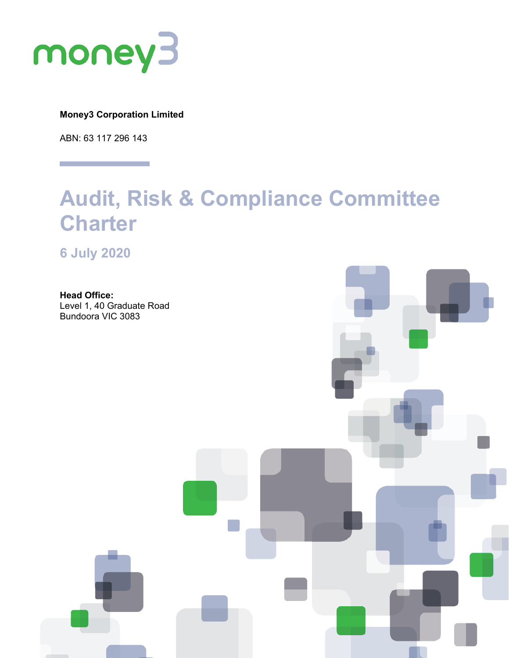

**Money3 Corporation Limited**

ABN: 63 117 296 143

# **Audit, Risk & Compliance Committee Charter**

**6 July 2020**

**Head Office:** Level 1, 40 Graduate Road Bundoora VIC 3083

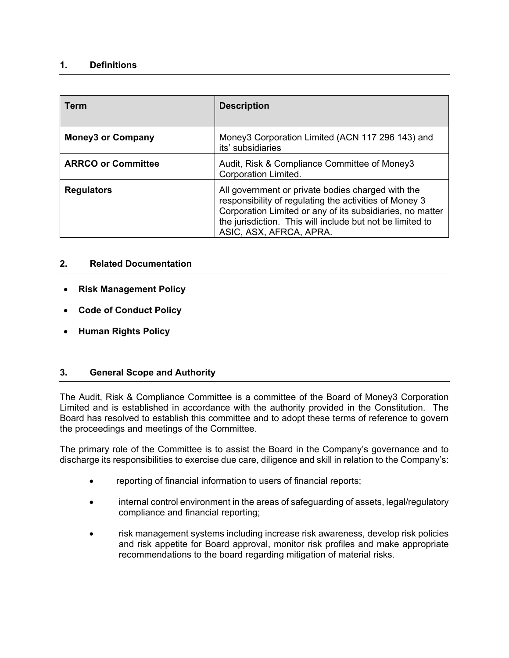### **1. Definitions**

| <b>Term</b>               | <b>Description</b>                                                                                                                                                                                                                                               |
|---------------------------|------------------------------------------------------------------------------------------------------------------------------------------------------------------------------------------------------------------------------------------------------------------|
| <b>Money3 or Company</b>  | Money3 Corporation Limited (ACN 117 296 143) and<br>its' subsidiaries                                                                                                                                                                                            |
| <b>ARRCO or Committee</b> | Audit, Risk & Compliance Committee of Money3<br>Corporation Limited.                                                                                                                                                                                             |
| <b>Regulators</b>         | All government or private bodies charged with the<br>responsibility of regulating the activities of Money 3<br>Corporation Limited or any of its subsidiaries, no matter<br>the jurisdiction. This will include but not be limited to<br>ASIC, ASX, AFRCA, APRA. |

# **2. Related Documentation**

- **Risk Management Policy**
- **Code of Conduct Policy**
- **Human Rights Policy**

# **3. General Scope and Authority**

The Audit, Risk & Compliance Committee is a committee of the Board of Money3 Corporation Limited and is established in accordance with the authority provided in the Constitution. The Board has resolved to establish this committee and to adopt these terms of reference to govern the proceedings and meetings of the Committee.

The primary role of the Committee is to assist the Board in the Company's governance and to discharge its responsibilities to exercise due care, diligence and skill in relation to the Company's:

- reporting of financial information to users of financial reports;
- internal control environment in the areas of safeguarding of assets, legal/regulatory compliance and financial reporting;
- risk management systems including increase risk awareness, develop risk policies and risk appetite for Board approval, monitor risk profiles and make appropriate recommendations to the board regarding mitigation of material risks.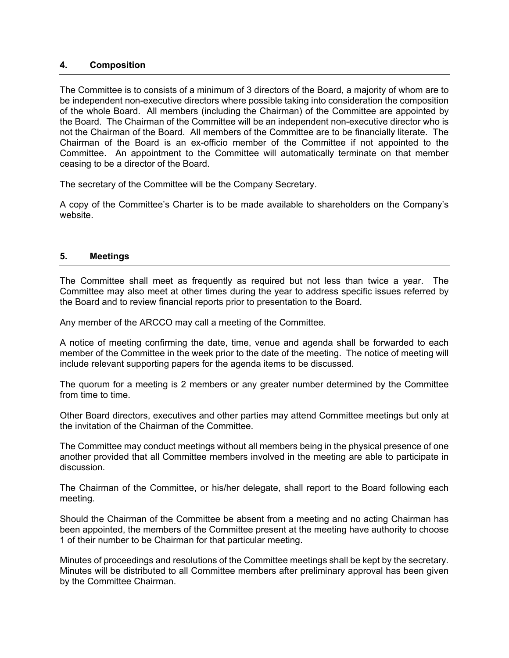#### **4. Composition**

The Committee is to consists of a minimum of 3 directors of the Board, a majority of whom are to be independent non-executive directors where possible taking into consideration the composition of the whole Board. All members (including the Chairman) of the Committee are appointed by the Board. The Chairman of the Committee will be an independent non-executive director who is not the Chairman of the Board. All members of the Committee are to be financially literate. The Chairman of the Board is an ex-officio member of the Committee if not appointed to the Committee. An appointment to the Committee will automatically terminate on that member ceasing to be a director of the Board.

The secretary of the Committee will be the Company Secretary.

A copy of the Committee's Charter is to be made available to shareholders on the Company's website.

#### **5. Meetings**

The Committee shall meet as frequently as required but not less than twice a year. The Committee may also meet at other times during the year to address specific issues referred by the Board and to review financial reports prior to presentation to the Board.

Any member of the ARCCO may call a meeting of the Committee.

A notice of meeting confirming the date, time, venue and agenda shall be forwarded to each member of the Committee in the week prior to the date of the meeting. The notice of meeting will include relevant supporting papers for the agenda items to be discussed.

The quorum for a meeting is 2 members or any greater number determined by the Committee from time to time.

Other Board directors, executives and other parties may attend Committee meetings but only at the invitation of the Chairman of the Committee.

The Committee may conduct meetings without all members being in the physical presence of one another provided that all Committee members involved in the meeting are able to participate in discussion.

The Chairman of the Committee, or his/her delegate, shall report to the Board following each meeting.

Should the Chairman of the Committee be absent from a meeting and no acting Chairman has been appointed, the members of the Committee present at the meeting have authority to choose 1 of their number to be Chairman for that particular meeting.

Minutes of proceedings and resolutions of the Committee meetings shall be kept by the secretary. Minutes will be distributed to all Committee members after preliminary approval has been given by the Committee Chairman.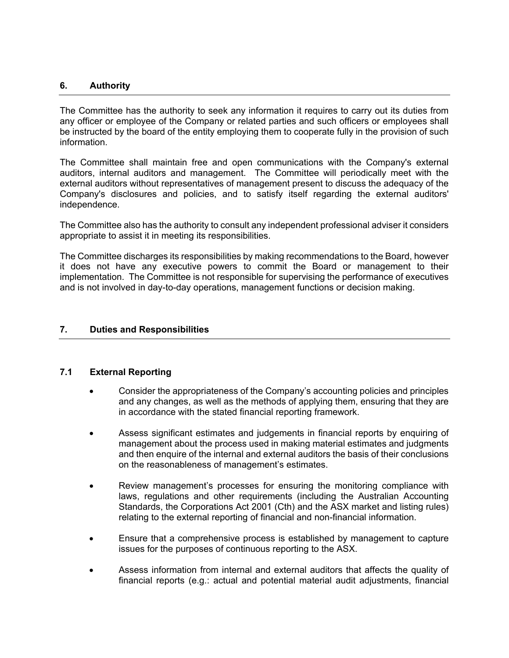#### **6. Authority**

The Committee has the authority to seek any information it requires to carry out its duties from any officer or employee of the Company or related parties and such officers or employees shall be instructed by the board of the entity employing them to cooperate fully in the provision of such information.

The Committee shall maintain free and open communications with the Company's external auditors, internal auditors and management. The Committee will periodically meet with the external auditors without representatives of management present to discuss the adequacy of the Company's disclosures and policies, and to satisfy itself regarding the external auditors' independence.

The Committee also has the authority to consult any independent professional adviser it considers appropriate to assist it in meeting its responsibilities.

The Committee discharges its responsibilities by making recommendations to the Board, however it does not have any executive powers to commit the Board or management to their implementation. The Committee is not responsible for supervising the performance of executives and is not involved in day-to-day operations, management functions or decision making.

#### **7. Duties and Responsibilities**

#### **7.1 External Reporting**

- Consider the appropriateness of the Company's accounting policies and principles and any changes, as well as the methods of applying them, ensuring that they are in accordance with the stated financial reporting framework.
- Assess significant estimates and judgements in financial reports by enquiring of management about the process used in making material estimates and judgments and then enquire of the internal and external auditors the basis of their conclusions on the reasonableness of management's estimates.
- Review management's processes for ensuring the monitoring compliance with laws, regulations and other requirements (including the Australian Accounting Standards, the Corporations Act 2001 (Cth) and the ASX market and listing rules) relating to the external reporting of financial and non-financial information.
- Ensure that a comprehensive process is established by management to capture issues for the purposes of continuous reporting to the ASX.
- Assess information from internal and external auditors that affects the quality of financial reports (e.g.: actual and potential material audit adjustments, financial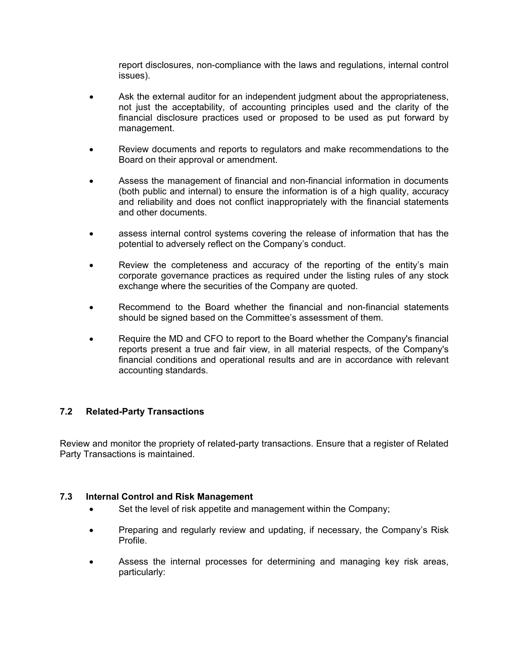report disclosures, non-compliance with the laws and regulations, internal control issues).

- Ask the external auditor for an independent judgment about the appropriateness, not just the acceptability, of accounting principles used and the clarity of the financial disclosure practices used or proposed to be used as put forward by management.
- Review documents and reports to regulators and make recommendations to the Board on their approval or amendment.
- Assess the management of financial and non-financial information in documents (both public and internal) to ensure the information is of a high quality, accuracy and reliability and does not conflict inappropriately with the financial statements and other documents.
- assess internal control systems covering the release of information that has the potential to adversely reflect on the Company's conduct.
- Review the completeness and accuracy of the reporting of the entity's main corporate governance practices as required under the listing rules of any stock exchange where the securities of the Company are quoted.
- Recommend to the Board whether the financial and non-financial statements should be signed based on the Committee's assessment of them.
- Require the MD and CFO to report to the Board whether the Company's financial reports present a true and fair view, in all material respects, of the Company's financial conditions and operational results and are in accordance with relevant accounting standards.

### **7.2 Related-Party Transactions**

Review and monitor the propriety of related-party transactions. Ensure that a register of Related Party Transactions is maintained.

#### **7.3 Internal Control and Risk Management**

- Set the level of risk appetite and management within the Company;
- Preparing and regularly review and updating, if necessary, the Company's Risk Profile.
- Assess the internal processes for determining and managing key risk areas, particularly: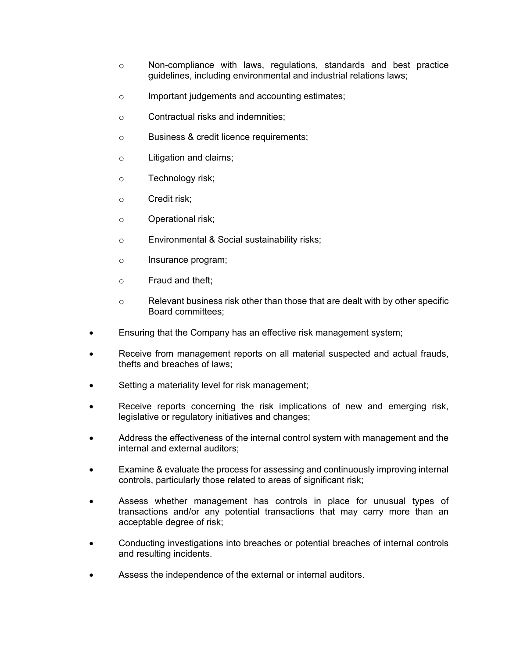- $\circ$  Non-compliance with laws, regulations, standards and best practice guidelines, including environmental and industrial relations laws;
- o Important judgements and accounting estimates;
- o Contractual risks and indemnities;
- o Business & credit licence requirements;
- o Litigation and claims;
- o Technology risk;
- o Credit risk;
- o Operational risk;
- o Environmental & Social sustainability risks;
- o Insurance program;
- o Fraud and theft;
- o Relevant business risk other than those that are dealt with by other specific Board committees;
- Ensuring that the Company has an effective risk management system;
- Receive from management reports on all material suspected and actual frauds, thefts and breaches of laws;
- Setting a materiality level for risk management;
- Receive reports concerning the risk implications of new and emerging risk, legislative or regulatory initiatives and changes;
- Address the effectiveness of the internal control system with management and the internal and external auditors;
- Examine & evaluate the process for assessing and continuously improving internal controls, particularly those related to areas of significant risk;
- Assess whether management has controls in place for unusual types of transactions and/or any potential transactions that may carry more than an acceptable degree of risk;
- Conducting investigations into breaches or potential breaches of internal controls and resulting incidents.
- Assess the independence of the external or internal auditors.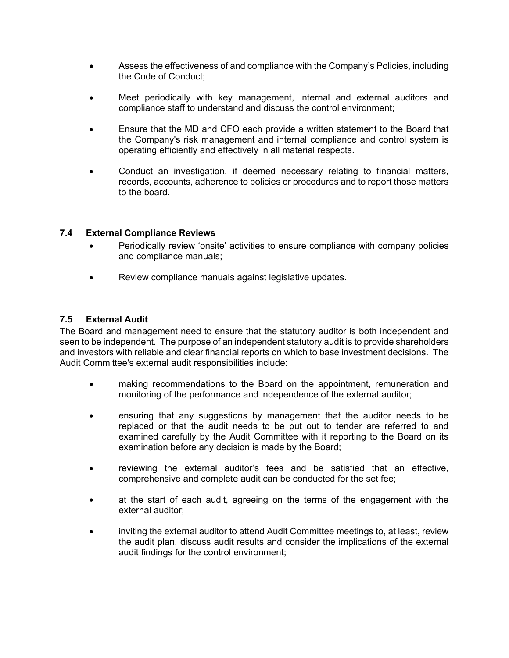- Assess the effectiveness of and compliance with the Company's Policies, including the Code of Conduct;
- Meet periodically with key management, internal and external auditors and compliance staff to understand and discuss the control environment;
- Ensure that the MD and CFO each provide a written statement to the Board that the Company's risk management and internal compliance and control system is operating efficiently and effectively in all material respects.
- Conduct an investigation, if deemed necessary relating to financial matters, records, accounts, adherence to policies or procedures and to report those matters to the board.

#### **7.4 External Compliance Reviews**

- Periodically review 'onsite' activities to ensure compliance with company policies and compliance manuals;
- Review compliance manuals against legislative updates.

#### **7.5 External Audit**

The Board and management need to ensure that the statutory auditor is both independent and seen to be independent. The purpose of an independent statutory audit is to provide shareholders and investors with reliable and clear financial reports on which to base investment decisions. The Audit Committee's external audit responsibilities include:

- making recommendations to the Board on the appointment, remuneration and monitoring of the performance and independence of the external auditor;
- ensuring that any suggestions by management that the auditor needs to be replaced or that the audit needs to be put out to tender are referred to and examined carefully by the Audit Committee with it reporting to the Board on its examination before any decision is made by the Board;
- reviewing the external auditor's fees and be satisfied that an effective, comprehensive and complete audit can be conducted for the set fee;
- at the start of each audit, agreeing on the terms of the engagement with the external auditor;
- inviting the external auditor to attend Audit Committee meetings to, at least, review the audit plan, discuss audit results and consider the implications of the external audit findings for the control environment;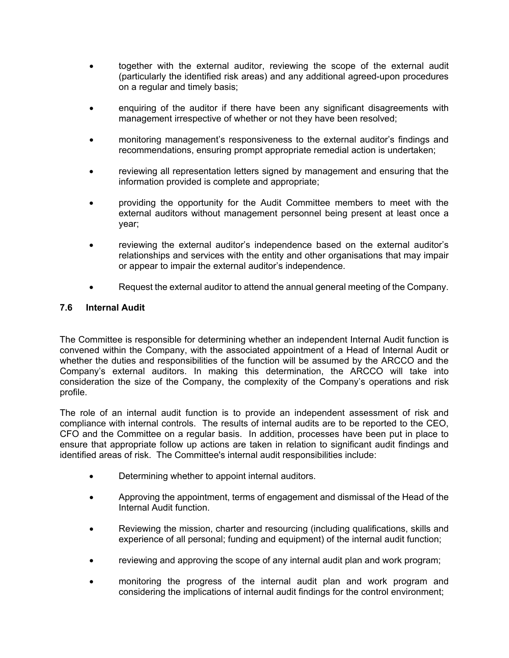- together with the external auditor, reviewing the scope of the external audit (particularly the identified risk areas) and any additional agreed-upon procedures on a regular and timely basis;
- enquiring of the auditor if there have been any significant disagreements with management irrespective of whether or not they have been resolved;
- monitoring management's responsiveness to the external auditor's findings and recommendations, ensuring prompt appropriate remedial action is undertaken;
- reviewing all representation letters signed by management and ensuring that the information provided is complete and appropriate;
- providing the opportunity for the Audit Committee members to meet with the external auditors without management personnel being present at least once a year;
- reviewing the external auditor's independence based on the external auditor's relationships and services with the entity and other organisations that may impair or appear to impair the external auditor's independence.
- Request the external auditor to attend the annual general meeting of the Company.

#### **7.6 Internal Audit**

The Committee is responsible for determining whether an independent Internal Audit function is convened within the Company, with the associated appointment of a Head of Internal Audit or whether the duties and responsibilities of the function will be assumed by the ARCCO and the Company's external auditors. In making this determination, the ARCCO will take into consideration the size of the Company, the complexity of the Company's operations and risk profile.

The role of an internal audit function is to provide an independent assessment of risk and compliance with internal controls. The results of internal audits are to be reported to the CEO, CFO and the Committee on a regular basis. In addition, processes have been put in place to ensure that appropriate follow up actions are taken in relation to significant audit findings and identified areas of risk. The Committee's internal audit responsibilities include:

- Determining whether to appoint internal auditors.
- Approving the appointment, terms of engagement and dismissal of the Head of the Internal Audit function.
- Reviewing the mission, charter and resourcing (including qualifications, skills and experience of all personal; funding and equipment) of the internal audit function;
- reviewing and approving the scope of any internal audit plan and work program;
- monitoring the progress of the internal audit plan and work program and considering the implications of internal audit findings for the control environment;